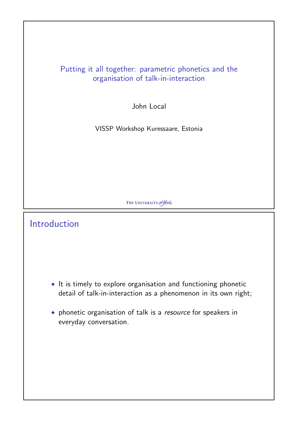#### Putting it all together: parametric phonetics and the organisation of talk-in-interaction

John Local

VISSP Workshop Kuressaare, Estonia

THE UNIVERSITY of York

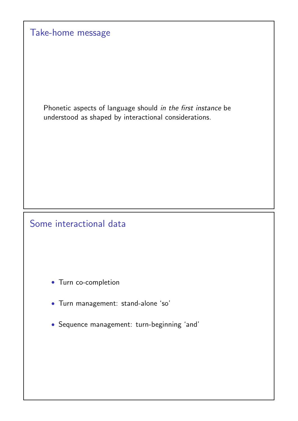| Take-home message                                                                                                     |
|-----------------------------------------------------------------------------------------------------------------------|
|                                                                                                                       |
| Phonetic aspects of language should in the first instance be<br>understood as shaped by interactional considerations. |
|                                                                                                                       |
|                                                                                                                       |
| Some interactional data                                                                                               |
|                                                                                                                       |
| • Turn co-completion                                                                                                  |
| · Turn management: stand-alone 'so'                                                                                   |
| • Sequence management: turn-beginning 'and'                                                                           |
|                                                                                                                       |
|                                                                                                                       |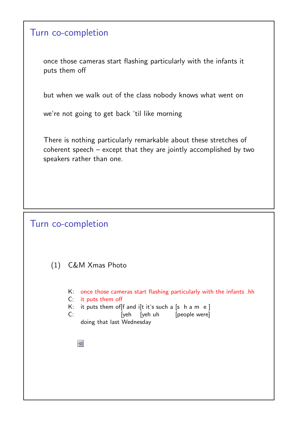#### Turn co-completion

once those cameras start flashing particularly with the infants it puts them off

but when we walk out of the class nobody knows what went on

we're not going to get back 'til like morning

There is nothing particularly remarkable about these stretches of coherent speech – except that they are jointly accomplished by two speakers rather than one.

#### Turn co-completion

(1) C&M Xmas Photo

K: once those cameras start flashing particularly with the infants .hh

- C: it puts them off
- K: it puts them of  $f$  and i $f$ t it's such a  $s$  h a m e  $s$
- C: [yeh [yeh uh [people were] doing that last Wednesday
	- $\sqrt{2}$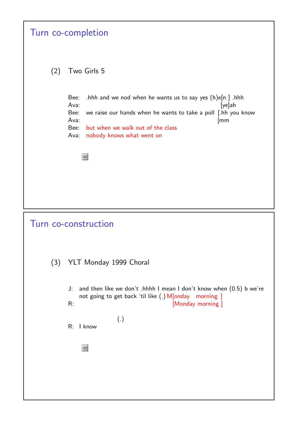|     | Turn co-completion                                                                                                                                                                                                                                             |
|-----|----------------------------------------------------------------------------------------------------------------------------------------------------------------------------------------------------------------------------------------------------------------|
| (2) | Two Girls 5                                                                                                                                                                                                                                                    |
|     | Bee:<br>.hhh and we nod when he wants us to say yes $(h)e[n]$ .hhh<br>Ava:<br>$[ye]$ ah<br>we raise our hands when he wants to take a poll [.hh you know<br>Bee:<br>Ava:<br>[mm<br>but when we walk out of the class<br>Bee:<br>Ava: nobody knows what went on |
|     | $\blacktriangleleft$                                                                                                                                                                                                                                           |
|     |                                                                                                                                                                                                                                                                |
|     | Turn co-construction                                                                                                                                                                                                                                           |
| (3) | YLT Monday 1999 Choral                                                                                                                                                                                                                                         |
|     | and then like we don't .hhhh I mean I don't know when (0.5) b we're<br>J:<br>not going to get back 'til like (.) M[onday morning ]<br>[Monday morning]<br>R:                                                                                                   |
|     | (.)<br>R:<br>I know                                                                                                                                                                                                                                            |
|     | $\blacktriangleleft$                                                                                                                                                                                                                                           |
|     |                                                                                                                                                                                                                                                                |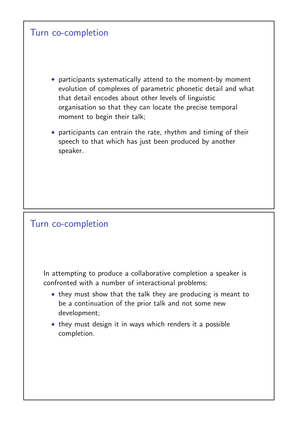### Turn co-completion

- participants systematically attend to the moment-by moment evolution of complexes of parametric phonetic detail and what that detail encodes about other levels of linguistic organisation so that they can locate the precise temporal moment to begin their talk;
- participants can entrain the rate, rhythm and timing of their speech to that which has just been produced by another speaker.

#### Turn co-completion

In attempting to produce a collaborative completion a speaker is confronted with a number of interactional problems:

- they must show that the talk they are producing is meant to be a continuation of the prior talk and not some new development;
- they must design it in ways which renders it a possible completion.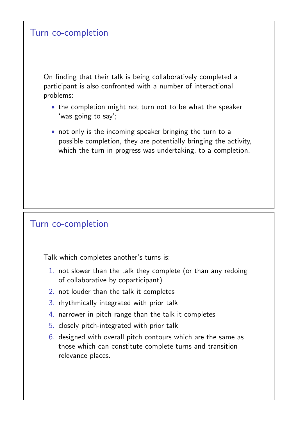### Turn co-completion

On finding that their talk is being collaboratively completed a participant is also confronted with a number of interactional problems:

- the completion might not turn not to be what the speaker 'was going to say';
- not only is the incoming speaker bringing the turn to a possible completion, they are potentially bringing the activity, which the turn-in-progress was undertaking, to a completion.

### Turn co-completion

Talk which completes another's turns is:

- 1. not slower than the talk they complete (or than any redoing of collaborative by coparticipant)
- 2. not louder than the talk it completes
- 3. rhythmically integrated with prior talk
- 4. narrower in pitch range than the talk it completes
- 5. closely pitch-integrated with prior talk
- 6. designed with overall pitch contours which are the same as those which can constitute complete turns and transition relevance places.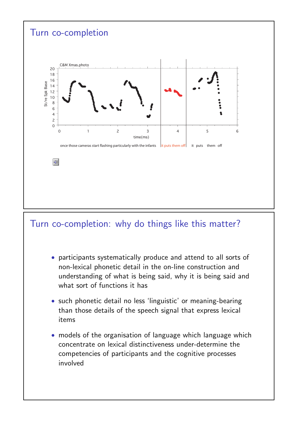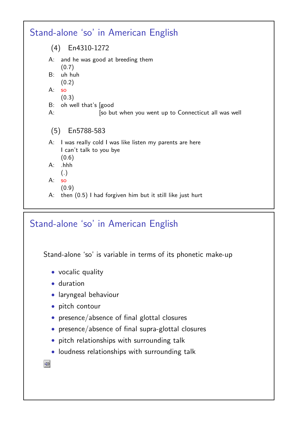

## Stand-alone 'so' in American English

Stand-alone 'so' is variable in terms of its phonetic make-up

- vocalic quality
- duration
- laryngeal behaviour
- pitch contour
- presence/absence of final glottal closures
- presence/absence of final supra-glottal closures
- pitch relationships with surrounding talk
- loudness relationships with surrounding talk

 $\ket{\triangleleft}$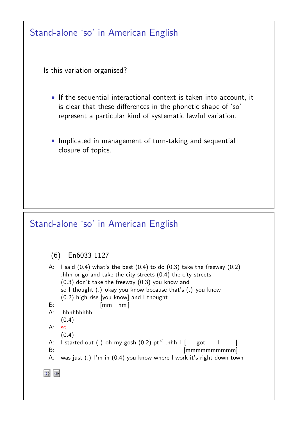| Stand-alone 'so' in American English                                                                                                                                                                                                                                                                                                                                                                                                                                                                                          |
|-------------------------------------------------------------------------------------------------------------------------------------------------------------------------------------------------------------------------------------------------------------------------------------------------------------------------------------------------------------------------------------------------------------------------------------------------------------------------------------------------------------------------------|
| Is this variation organised?                                                                                                                                                                                                                                                                                                                                                                                                                                                                                                  |
| • If the sequential-interactional context is taken into account, it<br>is clear that these differences in the phonetic shape of 'so'<br>represent a particular kind of systematic lawful variation.                                                                                                                                                                                                                                                                                                                           |
| • Implicated in management of turn-taking and sequential<br>closure of topics.                                                                                                                                                                                                                                                                                                                                                                                                                                                |
|                                                                                                                                                                                                                                                                                                                                                                                                                                                                                                                               |
| Stand-alone 'so' in American English                                                                                                                                                                                                                                                                                                                                                                                                                                                                                          |
| En6033-1127<br>(6)<br>I said $(0.4)$ what's the best $(0.4)$ to do $(0.3)$ take the freeway $(0.2)$<br>A:<br>.hhh or go and take the city streets $(0.4)$ the city streets<br>$(0.3)$ don't take the freeway $(0.3)$ you know and<br>so I thought (.) okay you know because that's (.) you know<br>$(0.2)$ high rise [you know] and I thought<br>B:<br>$h$ m $\vert$<br>$\sqrt{mm}$<br>$A$ :<br>.hhhhhhhhh<br>(0.4)<br>A:<br>SO<br>(0.4)<br>I started out (.) oh my gosh $(0.2)$ pt <sup>&lt;</sup> .hhh I $\lceil$ got<br>A: |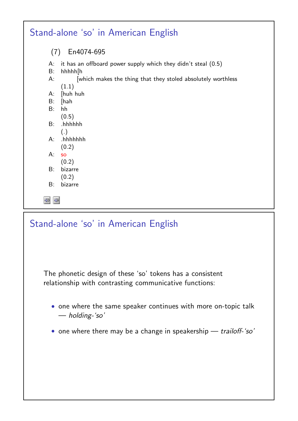|                     | Stand-alone 'so' in American English                                       |
|---------------------|----------------------------------------------------------------------------|
| (7)                 | En4074-695                                                                 |
| А:<br>B:            | it has an offboard power supply which they didn't steal $(0.5)$<br>hhhhh[h |
| $A$ :               | which makes the thing that they stoled absolutely worthless<br>(1.1)       |
| A:                  | [huh huh                                                                   |
| B:                  | [hah                                                                       |
| B:                  | hh                                                                         |
|                     | (0.5)                                                                      |
| B:                  | .hhhhhh                                                                    |
|                     | (.)                                                                        |
| $A$ :               | .hhhhhhh                                                                   |
|                     | (0.2)                                                                      |
| $A$ :               | <b>SO</b>                                                                  |
|                     | (0.2)                                                                      |
| B:                  | bizarre                                                                    |
|                     | (0.2)                                                                      |
| B:                  | bizarre                                                                    |
| ⊰≫<br>$\ket{\prec}$ |                                                                            |

# Stand-alone 'so' in American English

The phonetic design of these 'so' tokens has a consistent relationship with contrasting communicative functions:

- one where the same speaker continues with more on-topic talk — holding-'so'
- one where there may be a change in speakership trailoff-'so'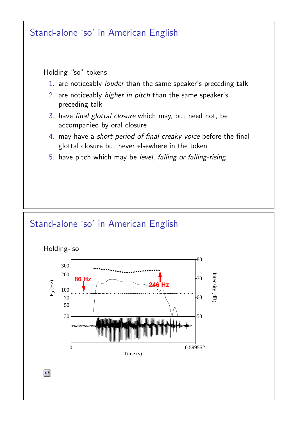



 $\sqrt{2}$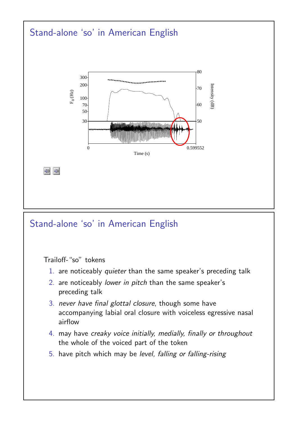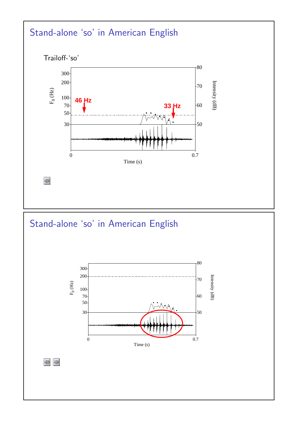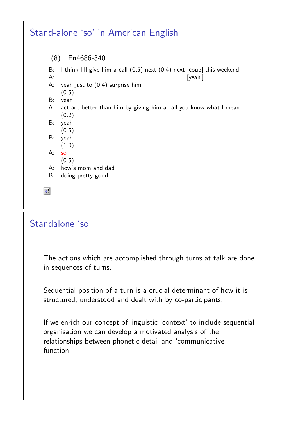

## Standalone 'so'

The actions which are accomplished through turns at talk are done in sequences of turns.

Sequential position of a turn is a crucial determinant of how it is structured, understood and dealt with by co-participants.

If we enrich our concept of linguistic 'context' to include sequential organisation we can develop a motivated analysis of the relationships between phonetic detail and 'communicative function'.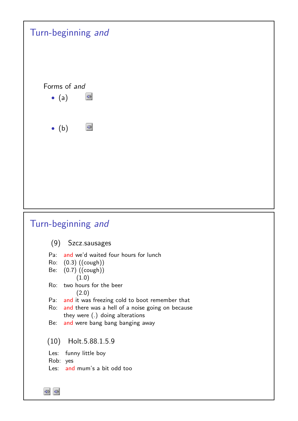| Turn-beginning and                                                                        |
|-------------------------------------------------------------------------------------------|
| Forms of and<br>$\blacktriangleleft$                                                      |
| $\bullet$ (a)                                                                             |
| $\blacktriangleleft$<br>$\bullet$ (b)                                                     |
|                                                                                           |
|                                                                                           |
|                                                                                           |
|                                                                                           |
| Turn-beginning and                                                                        |
| (9) Szcz.sausages                                                                         |
| Pa: and we'd waited four hours for lunch                                                  |
| Ro: (0.3) ((cough))<br>Be: (0.7) ((cough))                                                |
| (1.0)<br>Ro: two hours for the beer<br>(2.0)                                              |
| Pa: and it was freezing cold to boot remember that                                        |
| Ro: and there was a hell of a noise going on because<br>they were $(.)$ doing alterations |
| and were bang bang banging away<br>Be:                                                    |
| Holt.5.88.1.5.9<br>(10)                                                                   |
| Les: funny little boy<br>Rob: yes                                                         |
| Les: and mum's a bit odd too                                                              |
|                                                                                           |

 $\begin{tabular}{|c|c|c|} \hline $\mathbb{Q}$ & $\mathbb{Q}$ \\ \hline \hline $\mathbb{Q}$ & $\mathbb{Q}$ \\ \hline \end{tabular}$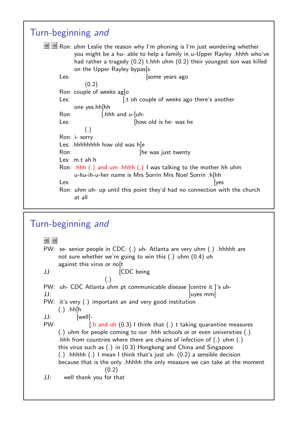```
Turn-beginning and
EN Ron: uhm Leslie the reason why I'm phoning is I'm just wondering whether
          you might be a hu- able to help a family in u-Upper Rayley .hhhh who've
          had rather a tragedy (0.2) t.hhh uhm (0.2) their youngest son was killed
          on the Upper Rayley bypas[s
     Les: [some years ago
             (0.2)
     Ron: couple of weeks ag[o
     Les: [t oh couple of weeks ago there's another
          one yes.hh[hh
     Ron: [.hhh and u-[uh-
     Les: [how old is he- was he](.)
     Ron: i- sorry
     Les: .hhhhhhhh how old was h[e
     Ron: [he was just twenty
     Les: .m.t ah.h
     Ron: .hhh (.) and um .hhhh (.) I was talking to the mother hh uhm
          u-hu-ih-u-her name is Mrs Sorrin Mrs Noel Sorrin .h[hh
      Les: [yes
     Ron: uhm uh- up until this point they'd had no connection with the church
          at all
```
### Turn-beginning and

 $\frac{1}{\sqrt{2}}$ PW: se- senior people in CDC: (.) uh- Atlanta are very uhm (.) .hhhhh are not sure whether we're going to win this (.) uhm (0.4) uh against this virus or no<sub>[t]</sub> JJ: [CDC being (.) PW: uh- CDC Atlanta uhm pt communicable disease [centre it ]'s uh-JJ: [uyes mm] PW: it's very (.) important an and very good institution  $(.)$  .hh $[h]$ JJ: [well[- PW: [.h and uh (0.3) I think that (.) t taking quarantine measures (.) uhm for people coming to our .hhh schools or or even universities (.) .hhh from countries where there are chains of infection of (.) uhm (.) this virus such as (.) in (0.3) Hongkong and China and Singapore (.) .hhhhh (.) I mean I think that's just uh- (0.2) a sensible decision because that is the only .hhhhh the only measure we can take at the moment (0.2) JJ: well thank you for that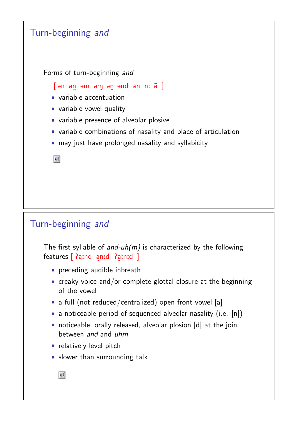

# Turn-beginning and

The first syllable of and-uh( $m$ ) is characterized by the following features [ ?aːnd a  $\tilde{a}$ n:d Pa  $\tilde{a}$ :n:d ]

- preceding audible inbreath
- creaky voice and/or complete glottal closure at the beginning of the vowel
- a full (not reduced/centralized) open front vowel [a]
- a noticeable period of sequenced alveolar nasality (i.e. [n])
- noticeable, orally released, alveolar plosion [d] at the join between and and uhm
- relatively level pitch
- slower than surrounding talk

 $\left|\right|$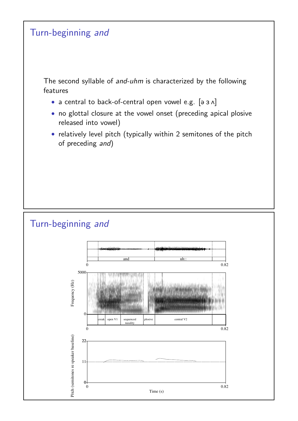

Time (s)